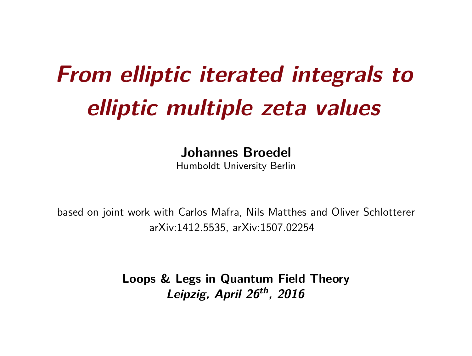# **From elliptic iterated integrals to elliptic multiple zeta values**

**Johannes Broedel**

Humboldt University Berlin

based on joint work with Carlos Mafra, Nils Matthes and Oliver Schlotterer arXiv:1412.5535, arXiv:1507.02254

> **Loops & Legs in Quantum Field Theory Leipzig, April 26th, 2016**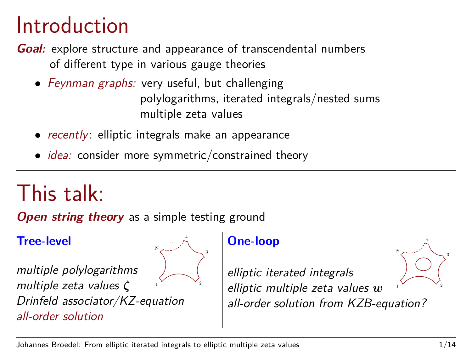### Introduction

**Goal:** explore structure and appearance of transcendental numbers of different type in various gauge theories

- Feynman graphs: very useful, but challenging polylogarithms, iterated integrals/nested sums multiple zeta values
- *recently*: elliptic integrals make an appearance
- *idea:* consider more symmetric/constrained theory

### This talk:

**Open string theory** as a simple testing ground

**Tree-level**



multiple polylogarithms multiple zeta values *ζ* Drinfeld associator/KZ-equation all-order solution

**One-loop**

1 elliptic iterated integrals elliptic multiple zeta values *w* all-order solution from KZB-equation?

2

4

 $N$  , · · ·

3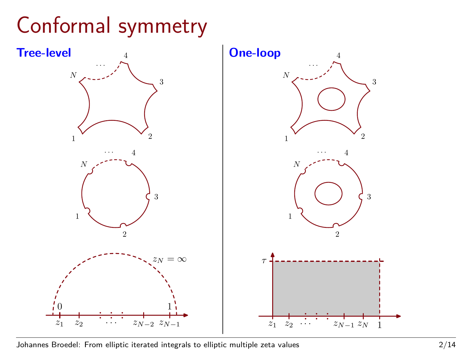### Conformal symmetry



Johannes Broedel: From elliptic iterated integrals to elliptic multiple zeta values 2/14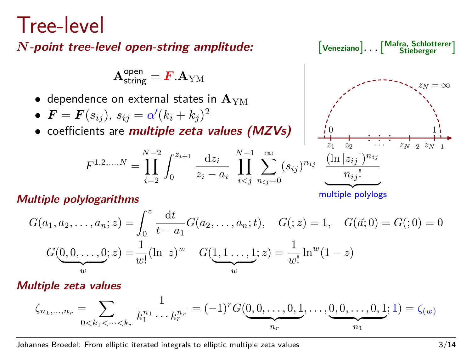### Tree-level

*N*-point tree-level open-string amplitude:

$$
\mathbf{A}^{\text{open}}_{\text{string}} = \boldsymbol{F}.\mathbf{A}_{\text{YM}}
$$

- dependence on external states in  $A_{YM}$
- $\bullet$   $\bm{F} = \bm{F}(s_{ij}), \, s_{ij} = \alpha' (k_i + k_j)^2$
- coefficients are **multiple zeta values (MZVs)** 0

$$
F^{1,2,...,N} = \prod_{i=2}^{N-2} \int_0^{z_{i+1}} \frac{\mathrm{d}z_i}{z_i - a_i} \prod_{i < j}^{N-1} \sum_{n_{ij}=0}^{\infty} (s_{ij})^{n_{ij}}
$$

**Mafra, Schlotterer Stieberger** ] z<sup>1</sup> z<sup>2</sup> zN−<sup>2</sup> 1 zN−<sup>1</sup> z<sup>N</sup> = ∞ · · · (ln |*zij* |) *nij nij* !

multiple polylogs

$$
G(a_1, a_2, \dots, a_n; z) = \int_0^z \frac{dt}{t - a_1} G(a_2, \dots, a_n; t), \quad G(z) = 1, \quad G(\vec{a}; 0) = G(z) = 0
$$

$$
G(\underbrace{0, 0, \dots, 0}_{w}; z) = \frac{1}{w!} (\ln z)^w \quad G(\underbrace{1, 1, \dots, 1}_{w}; z) = \frac{1}{w!} \ln^w (1 - z)
$$

#### **Multiple zeta values**

multiple polylogs **Multiple polylogarithms**

$$
\zeta_{n_1,\dots,n_r} = \sum_{0 < k_1 < \dots < k_r} \frac{1}{k_1^{n_1} \cdots k_r^{n_r}} = (-1)^r G(\underbrace{0,0,\dots,0,1}_{n_r},\dots,\underbrace{0,0,\dots,0,1}_{n_1};1) = \zeta(w)
$$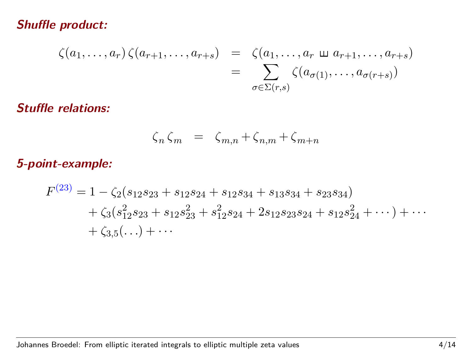#### **Shuffle product:**

$$
\zeta(a_1,\ldots,a_r)\,\zeta(a_{r+1},\ldots,a_{r+s})\quad =\quad \zeta(a_1,\ldots,a_r\,\sqcup\,a_{r+1},\ldots,a_{r+s})\\ =\quad \sum_{\sigma\in\Sigma(r,s)}\zeta(a_{\sigma(1)},\ldots,a_{\sigma(r+s)})
$$

#### **Stuffle relations:**

$$
\zeta_n \zeta_m = \zeta_{m,n} + \zeta_{n,m} + \zeta_{m+n}
$$

#### a**5-point-example:**

$$
F^{(23)} = 1 - \zeta_2(s_{12}s_{23} + s_{12}s_{24} + s_{12}s_{34} + s_{13}s_{34} + s_{23}s_{34})
$$
  
+  $\zeta_3(s_{12}^2s_{23} + s_{12}s_{23}^2 + s_{12}^2s_{24} + 2s_{12}s_{23}s_{24} + s_{12}s_{24}^2 + \cdots) + \cdots$   
+  $\zeta_{3,5}(\ldots) + \cdots$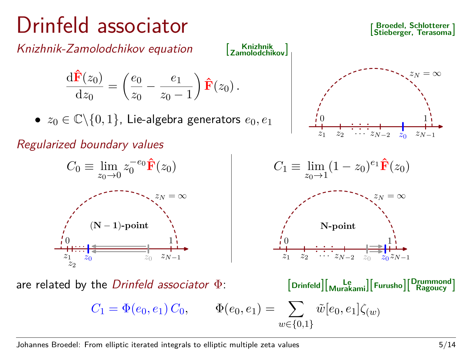### Drinfeld associator

Knizhnik-Zamolodchikov equation [

**Knizhnik Zamolodchikov**]

0

 $z_1$   $z_2$   $\cdots$   $z_{N-2}$   $z_0$ 

$$
\frac{\mathrm{d}\hat{\mathbf{F}}(z_0)}{\mathrm{d}z_0} = \left(\frac{e_0}{z_0} - \frac{e_1}{z_0 - 1}\right)\hat{\mathbf{F}}(z_0).
$$

•  $z_0 \in \mathbb{C} \backslash \{0,1\}$ , Lie-algebra generators  $e_0, e_1$ 

Regularized boundary values



**Broedel, Schlotterer Stieberger, Terasoma**]

> 1  $z_{N-1}$

 $=\infty$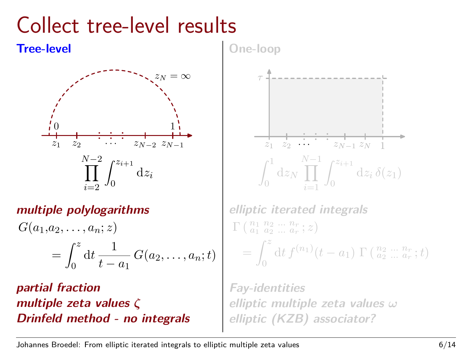### Collect tree-level results



### **multiple polylogarithms**

$$
G(a_1, a_2, \dots, a_n; z)
$$
  
= 
$$
\int_0^z \mathrm{d}t \, \frac{1}{t-a_1} \, G(a_2, \dots, a_n; t)
$$

**partial fraction multiple zeta values** *ζ* **Drinfeld method - no integrals** **One-loop**



**elliptic iterated integrals**  $\Gamma\left(\begin{smallmatrix} n_1 & n_2 & \dots & n_r \\ a_1 & a_2 & \dots & a_r \end{smallmatrix}; z\right)$  $=$  $\int_0^z$  $dt f^{(n_1)}(t-a_1) \Gamma(\frac{n_2}{a_2} ... \frac{n_r}{a_r};t)$ 

**Fay-identities elliptic multiple zeta values** *ω* **elliptic (KZB) associator?**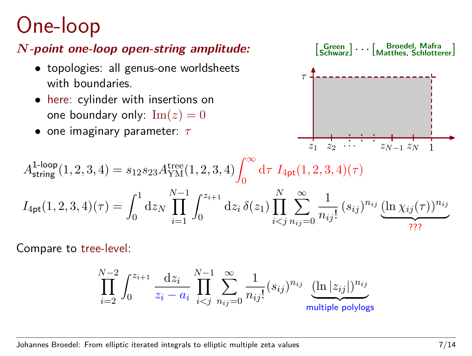### One-loop

### *N***-point one-loop open-string amplitude:** [

- topologies: all genus-one worldsheets with boundaries.
- here: cylinder with insertions on one boundary only:  $\text{Im}(z) = 0$
- one imaginary parameter: *τ*



$$
A^{1\text{-loop}}_{\text{string}}(1,2,3,4)=s_{12}s_{23}A^{\text{tree}}_{\text{YM}}(1,2,3,4)\!\int_0^\infty\mathrm{d}\tau~I_{\text{4pt}}(1,2,3,4)(\tau)
$$

$$
I_{4pt}(1,2,3,4)(\tau) = \int_0^1 dz_N \prod_{i=1}^{N-1} \int_0^{z_{i+1}} dz_i \, \delta(z_1) \prod_{i
$$

Compare to tree-level:

$$
\prod_{i=2}^{N-2} \int_0^{z_{i+1}} \frac{\mathrm{d}z_i}{z_i - a_i} \prod_{i < j}^{N-1} \sum_{n_{ij} = 0}^{\infty} \frac{1}{n_{ij}!} (s_{ij})^{n_{ij}} \underbrace{(\ln |z_{ij}|)^{n_{ij}}}_{\text{multiple polylogs}}
$$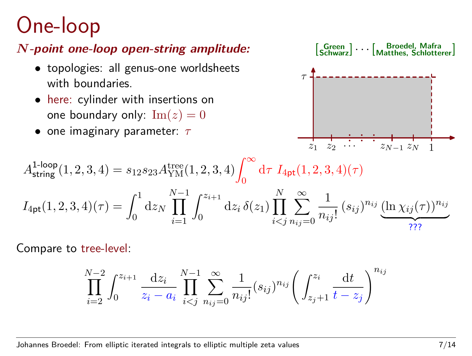### One-loop

#### *N***-point one-loop open-string amplitude:** [

- topologies: all genus-one worldsheets with boundaries.
- here: cylinder with insertions on one boundary only:  $\text{Im}(z) = 0$
- one imaginary parameter: *τ*



$$
A_{\text{string}}^{1\text{-loop}}(1,2,3,4)=s_{12}s_{23}A_{\text{YM}}^{\text{tree}}(1,2,3,4)\int_{0}^{\infty}\mathrm{d}\tau~I_{4\text{pt}}(1,2,3,4)(\tau)
$$

$$
I_{4pt}(1,2,3,4)(\tau) = \int_0^1 dz_N \prod_{i=1}^{N-1} \int_0^{z_{i+1}} dz_i \, \delta(z_1) \prod_{i
$$

Compare to tree-level:

$$
\prod_{i=2}^{N-2} \int_0^{z_{i+1}} \frac{\mathrm{d}z_i}{z_i - a_i} \prod_{i < j}^{N-1} \sum_{n_{ij} = 0}^{\infty} \frac{1}{n_{ij}!} (s_{ij})^{n_{ij}} \left( \int_{z_j + 1}^{z_i} \frac{\mathrm{d}t}{t - z_j} \right)^{n_{ij}}
$$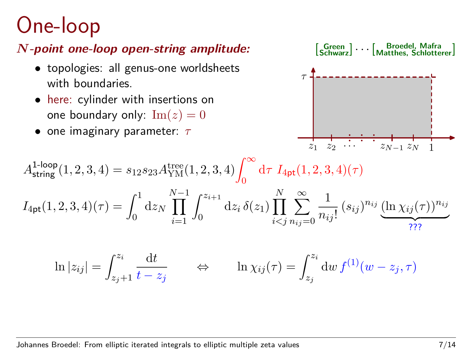### One-loop

### *N***-point one-loop open-string amplitude:** [

- topologies: all genus-one worldsheets with boundaries.
- here: cylinder with insertions on one boundary only:  $\text{Im}(z) = 0$
- one imaginary parameter: *τ*



$$
A_{\text{string}}^{1\text{-loop}}(1,2,3,4) = s_{12}s_{23}A_{\text{YM}}^{\text{tree}}(1,2,3,4) \int_0^\infty \mathrm{d}\tau \ I_{\text{4pt}}(1,2,3,4)(\tau)
$$

$$
I_{4pt}(1,2,3,4)(\tau) = \int_0^1 dz_N \prod_{i=1}^{N-1} \int_0^{z_{i+1}} dz_i \, \delta(z_1) \prod_{i
$$

$$
\ln|z_{ij}| = \int_{z_j+1}^{z_i} \frac{dt}{t-z_j} \qquad \Leftrightarrow \qquad \ln \chi_{ij}(\tau) = \int_{z_j}^{z_i} dw \, f^{(1)}(w-z_j, \tau)
$$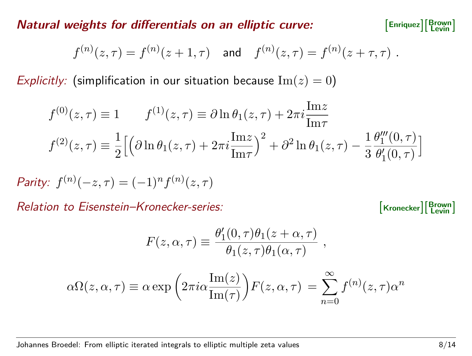**Natural weights for differentials on an elliptic curve:** 

$$
\texttt{Enriquez} \big] \! \big[ \! \begin{array}{c} \texttt{Brown} \\ \texttt{Levin} \end{array} \! \big]
$$

$$
f^{(n)}(z,\tau) = f^{(n)}(z+1,\tau)
$$
 and  $f^{(n)}(z,\tau) = f^{(n)}(z+\tau,\tau)$ .

Explicitly: (simplification in our situation because  $\text{Im}(z) = 0$ )

$$
f^{(0)}(z,\tau) \equiv 1 \qquad f^{(1)}(z,\tau) \equiv \partial \ln \theta_1(z,\tau) + 2\pi i \frac{\text{Im} z}{\text{Im} \tau}
$$

$$
f^{(2)}(z,\tau) \equiv \frac{1}{2} \Big[ \Big( \partial \ln \theta_1(z,\tau) + 2\pi i \frac{\text{Im} z}{\text{Im} \tau} \Big)^2 + \partial^2 \ln \theta_1(z,\tau) - \frac{1}{3} \frac{\theta_1'''(0,\tau)}{\theta_1'(0,\tau)} \Big]
$$

*Parity:*  $f^{(n)}(-z, \tau) = (-1)^n f^{(n)}(z, \tau)$ 

Relation to Eisenstein–Kronecker-series:

**Brown Levin** ]

$$
F(z, \alpha, \tau) \equiv \frac{\theta'_1(0, \tau)\theta_1(z + \alpha, \tau)}{\theta_1(z, \tau)\theta_1(\alpha, \tau)} ,
$$

$$
\alpha \Omega(z, \alpha, \tau) \equiv \alpha \exp \left( 2\pi i \alpha \frac{\text{Im}(z)}{\text{Im}(\tau)} \right) F(z, \alpha, \tau) = \sum_{n=0}^{\infty} f^{(n)}(z, \tau) \alpha^n
$$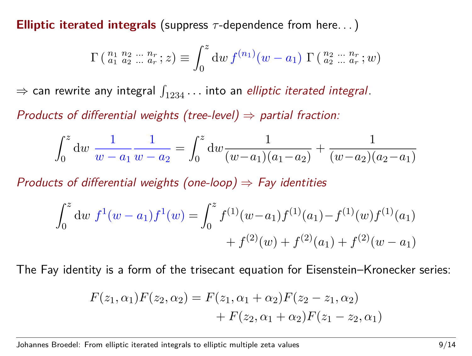**Elliptic iterated integrals** (suppress *τ* -dependence from here. . . )

$$
\Gamma\left(\begin{smallmatrix}n_1 & n_2 & \dots & n_r \\ a_1 & a_2 & \dots & a_r \end{smallmatrix}; z\right) \equiv \int_0^z \mathrm{d}w \, f^{(n_1)}(w - a_1) \, \Gamma\left(\begin{smallmatrix}n_2 & \dots & n_r \\ a_2 & \dots & a_r \end{smallmatrix}; w\right)
$$

 $\Rightarrow$  can rewrite any integral  $\int_{1234} \ldots$  into an *elliptic iterated integral*.

Products of differential weights (tree-level)  $\Rightarrow$  partial fraction:

$$
\int_0^z \mathrm{d} w \, \frac{1}{w - a_1} \frac{1}{w - a_2} = \int_0^z \mathrm{d} w \frac{1}{(w - a_1)(a_1 - a_2)} + \frac{1}{(w - a_2)(a_2 - a_1)}
$$

Products of differential weights (one-loop)  $\Rightarrow$  Fay identities

$$
\int_0^z \mathrm{d}w \ f^1(w - a_1) f^1(w) = \int_0^z f^{(1)}(w - a_1) f^{(1)}(a_1) - f^{(1)}(w) f^{(1)}(a_1) + f^{(2)}(w) + f^{(2)}(a_1) + f^{(2)}(w - a_1)
$$

The Fay identity is a form of the trisecant equation for Eisenstein–Kronecker series:

$$
F(z_1, \alpha_1)F(z_2, \alpha_2) = F(z_1, \alpha_1 + \alpha_2)F(z_2 - z_1, \alpha_2) + F(z_2, \alpha_1 + \alpha_2)F(z_1 - z_2, \alpha_1)
$$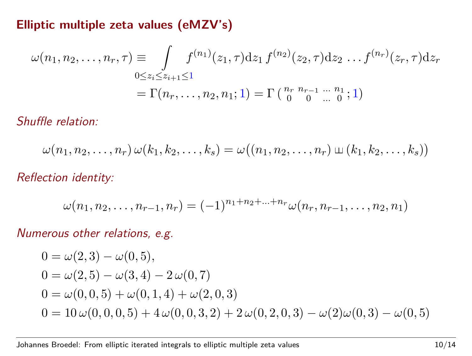#### **Elliptic multiple zeta values (eMZV's)**

$$
\omega(n_1, n_2, \dots, n_r, \tau) \equiv \int_{0 \le z_i \le z_{i+1} \le 1} f^{(n_1)}(z_1, \tau) dz_1 f^{(n_2)}(z_2, \tau) dz_2 \dots f^{(n_r)}(z_r, \tau) dz_r
$$
  
=  $\Gamma(n_r, \dots, n_2, n_1; 1) = \Gamma\left(\begin{array}{cc} n_r & n_{r-1} & \dots & n_1 \\ 0 & 0 & \dots & 0 \end{array}; 1\right)$ 

Shuffle relation:

$$
\omega(n_1,n_2,\ldots,n_r)\,\omega(k_1,k_2,\ldots,k_s)=\omega((n_1,n_2,\ldots,n_r)\,\omega(k_1,k_2,\ldots,k_s))
$$

Reflection identity:

$$
\omega(n_1, n_2, \ldots, n_{r-1}, n_r) = (-1)^{n_1 + n_2 + \ldots + n_r} \omega(n_r, n_{r-1}, \ldots, n_2, n_1)
$$

Numerous other relations, e.g.

$$
0 = \omega(2,3) - \omega(0,5),
$$
  
\n
$$
0 = \omega(2,5) - \omega(3,4) - 2\omega(0,7)
$$
  
\n
$$
0 = \omega(0,0,5) + \omega(0,1,4) + \omega(2,0,3)
$$
  
\n
$$
0 = 10\omega(0,0,0,5) + 4\omega(0,0,3,2) + 2\omega(0,2,0,3) - \omega(2)\omega(0,3) - \omega(0,5)
$$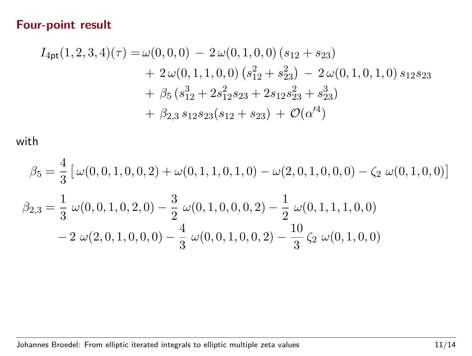#### **Four-point result**

$$
I_{4pt}(1,2,3,4)(\tau) = \omega(0,0,0) - 2\omega(0,1,0,0) (s_{12} + s_{23})
$$
  
+ 2\omega(0,1,1,0,0) (s<sub>12</sub><sup>2</sup> + s<sub>23</sub><sup>2</sup>) - 2\omega(0,1,0,1,0) s<sub>12</sub>s<sub>23</sub>  
+  $\beta_5$  (s<sub>12</sub><sup>3</sup> + 2s<sub>12</sub><sup>2</sup>s<sub>23</sub> + 2s<sub>12</sub>s<sub>23</sub><sup>2</sup> + s<sub>23</sub><sup>3</sup>)  
+  $\beta_{2,3}$  s<sub>12</sub>s<sub>23</sub>(s<sub>12</sub> + s<sub>23</sub>) + O( $\alpha$ <sup>4</sup>)

with

$$
\beta_5 = \frac{4}{3} \left[ \omega(0,0,1,0,0,2) + \omega(0,1,1,0,1,0) - \omega(2,0,1,0,0,0) - \zeta_2 \right. \omega(0,1,0,0) \right]
$$
  

$$
\beta_{2,3} = \frac{1}{3} \omega(0,0,1,0,2,0) - \frac{3}{2} \omega(0,1,0,0,0,2) - \frac{1}{2} \omega(0,1,1,1,0,0) - 2 \omega(2,0,1,0,0,0) - \frac{4}{3} \omega(0,0,1,0,0,2) - \frac{10}{3} \zeta_2 \omega(0,1,0,0)
$$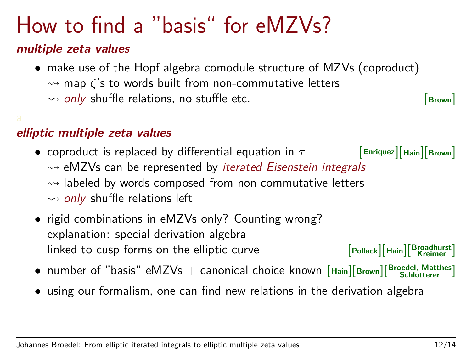### How to find a "basis" for eMZVs?

#### **multiple zeta values**

• make use of the Hopf algebra comodule structure of MZVs (coproduct)  $\rightarrow$  map *ζ*'s to words built from non-commutative letters  $\rightsquigarrow$  only shuffle relations, no stuffle etc.  $\boxed{\mathsf{Brown}}$ 

#### **elliptic multiple zeta values**

- coproduct is replaced by differential equation in *τ* [**Enriquez**][**Hain**][**Brown**]  $\rightsquigarrow$  eMZVs can be represented by *iterated Eisenstein integrals*  $\rightsquigarrow$  labeled by words composed from non-commutative letters  $\rightarrow$  only shuffle relations left
- rigid combinations in eMZVs only? Counting wrong? explanation: special derivation algebra  $\blacksquare$  linked to cusp forms on the elliptic curve **Broadhurst Kreimer** ]
- number of "basis" eMZVs + canonical choice known [**Hain**][**Brown**][ **Broedel, Matthes Schlotterer** ]
- using our formalism, one can find new relations in the derivation algebra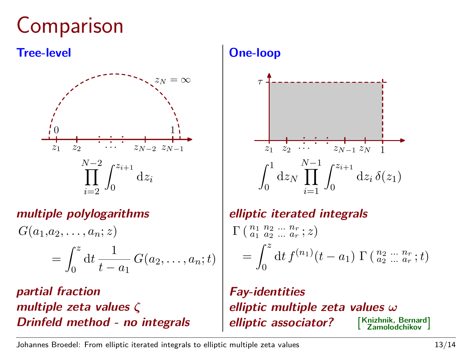### **Comparison**

#### **Tree-level**



#### **multiple polylogarithms**

 $G(a_1, a_2, \ldots, a_n; z)$  $=$  $\int_0^z$  $\boldsymbol{0}$  $dt \frac{1}{t}$  $\frac{1}{t-a_1} G(a_2,..., a_n; t)$ 

**partial fraction multiple zeta values** *ζ* **Drinfeld method - no integrals**

#### **One-loop**



#### **elliptic iterated integrals**

$$
\Gamma\left(\begin{array}{c}n_1 & n_2 & \dots & n_r \\ a_1 & a_2 & \dots & a_r & z\end{array}\right) = \int_0^z \mathrm{d}t \, f^{(n_1)}(t-a_1) \, \Gamma\left(\begin{array}{c}n_2 & \dots & n_r \\ a_2 & \dots & a_r & z\end{array}\right)
$$

**Fay-identities elliptic multiple zeta values** *ω* **elliptic associator?** [ **Knizhnik, Bernard Zamolodchikov** ]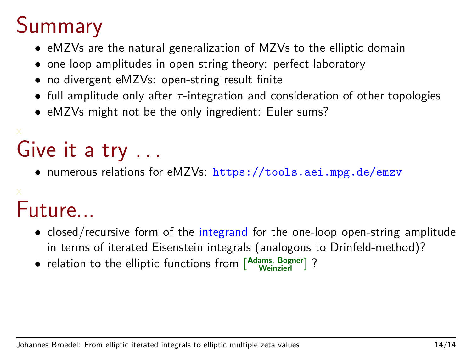### Summary

- eMZVs are the natural generalization of MZVs to the elliptic domain
- one-loop amplitudes in open string theory: perfect laboratory
- no divergent eMZVs: open-string result finite
- full amplitude only after *τ* -integration and consideration of other topologies
- eMZVs might not be the only ingredient: Euler sums?

# Give it a try ...

• numerous relations for eMZVs: https://tools.aei.mpg.de/emzv

## Future...

- closed/recursive form of the integrand for the one-loop open-string amplitude in terms of iterated Eisenstein integrals (analogous to Drinfeld-method)?
- relation to the elliptic functions from [ **Adams, Bogner Weinzierl** ] ?